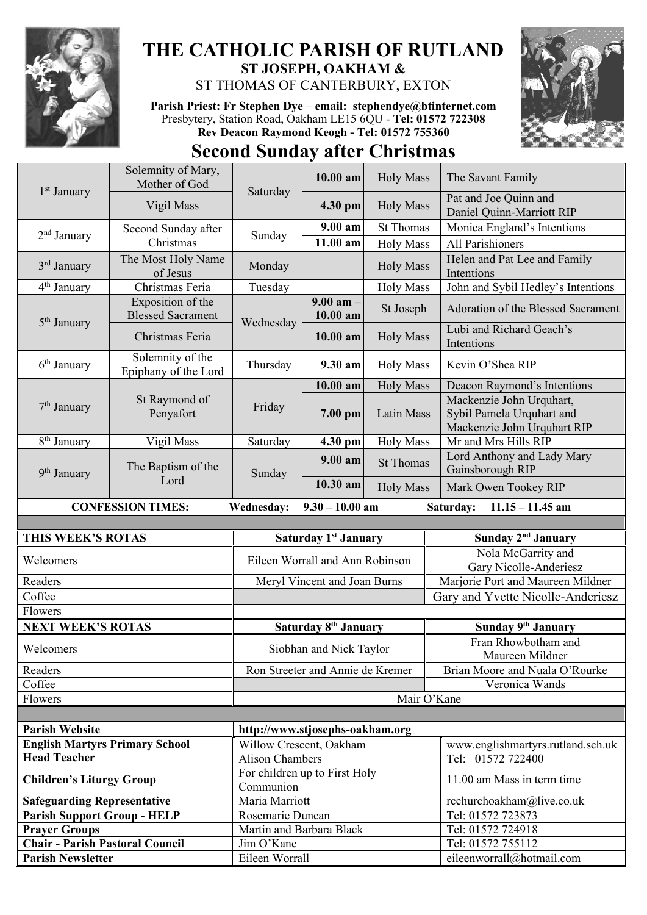

## **THE CATHOLIC PARISH OF RUTLAND ST JOSEPH, OAKHAM &**  ST THOMAS OF CANTERBURY, EXTON

**Parish Priest: Fr Stephen Dye** – **[email: stephendye@btinternet.com](mailto:email:%20%20stephendye@btinternet.com)** Presbytery, Station Road, Oakham LE15 6QU - **Tel: 01572 722308 Rev Deacon Raymond Keogh - Tel: 01572 755360**



## **Second Sunday after Christmas**

| 1 <sup>st</sup> January                                                                        | Solemnity of Mary,<br>Mother of God           | Saturday                                   | $10.00$ am                       | <b>Holy Mass</b> | The Savant Family                                                                    |
|------------------------------------------------------------------------------------------------|-----------------------------------------------|--------------------------------------------|----------------------------------|------------------|--------------------------------------------------------------------------------------|
|                                                                                                | Vigil Mass                                    |                                            | 4.30 pm                          | <b>Holy Mass</b> | Pat and Joe Quinn and<br>Daniel Quinn-Marriott RIP                                   |
| 2 <sup>nd</sup> January                                                                        | Second Sunday after<br>Christmas              | Sunday                                     | 9.00 am                          | <b>St Thomas</b> | Monica England's Intentions                                                          |
|                                                                                                |                                               |                                            | 11.00 am                         | <b>Holy Mass</b> | <b>All Parishioners</b>                                                              |
| 3 <sup>rd</sup> January                                                                        | The Most Holy Name<br>of Jesus                | Monday                                     |                                  | <b>Holy Mass</b> | Helen and Pat Lee and Family<br>Intentions                                           |
| 4 <sup>th</sup> January                                                                        | Christmas Feria                               | Tuesday                                    |                                  | <b>Holy Mass</b> | John and Sybil Hedley's Intentions                                                   |
| 5 <sup>th</sup> January                                                                        | Exposition of the<br><b>Blessed Sacrament</b> | Wednesday                                  | $9.00$ am $-$<br>10.00 am        | St Joseph        | Adoration of the Blessed Sacrament                                                   |
|                                                                                                | Christmas Feria                               |                                            | 10.00 am                         | <b>Holy Mass</b> | Lubi and Richard Geach's<br>Intentions                                               |
| 6 <sup>th</sup> January                                                                        | Solemnity of the<br>Epiphany of the Lord      | Thursday                                   | 9.30 am                          | <b>Holy Mass</b> | Kevin O'Shea RIP                                                                     |
|                                                                                                | St Raymond of<br>Penyafort                    | Friday                                     | 10.00 am                         | <b>Holy Mass</b> | Deacon Raymond's Intentions                                                          |
| $7th$ January                                                                                  |                                               |                                            | 7.00 pm                          | Latin Mass       | Mackenzie John Urquhart,<br>Sybil Pamela Urquhart and<br>Mackenzie John Urquhart RIP |
| 8 <sup>th</sup> January                                                                        | Vigil Mass                                    | Saturday                                   | 4.30 pm                          | <b>Holy Mass</b> | Mr and Mrs Hills RIP                                                                 |
| 9 <sup>th</sup> January                                                                        | The Baptism of the<br>Lord                    | Sunday                                     | $9.00$ am                        | <b>St Thomas</b> | Lord Anthony and Lady Mary<br>Gainsborough RIP                                       |
|                                                                                                |                                               |                                            | 10.30 am                         | <b>Holy Mass</b> | Mark Owen Tookey RIP                                                                 |
| <b>CONFESSION TIMES:</b><br>Wednesday:<br>$9.30 - 10.00$ am<br>Saturday:<br>$11.15 - 11.45$ am |                                               |                                            |                                  |                  |                                                                                      |
|                                                                                                |                                               |                                            |                                  |                  |                                                                                      |
|                                                                                                |                                               |                                            |                                  |                  |                                                                                      |
| THIS WEEK'S ROTAS                                                                              |                                               |                                            | Saturday 1 <sup>st</sup> January |                  | Sunday 2 <sup>nd</sup> January                                                       |
| Welcomers                                                                                      |                                               |                                            | Eileen Worrall and Ann Robinson  |                  | Nola McGarrity and<br>Gary Nicolle-Anderiesz                                         |
| Readers                                                                                        |                                               |                                            | Meryl Vincent and Joan Burns     |                  | Marjorie Port and Maureen Mildner                                                    |
| Coffee                                                                                         |                                               |                                            |                                  |                  | Gary and Yvette Nicolle-Anderiesz                                                    |
| Flowers                                                                                        |                                               |                                            |                                  |                  |                                                                                      |
| <b>NEXT WEEK'S ROTAS</b>                                                                       |                                               |                                            | Saturday 8 <sup>th</sup> January |                  | Sunday 9th January                                                                   |
| Welcomers                                                                                      |                                               |                                            | Siobhan and Nick Taylor          |                  | Fran Rhowbotham and                                                                  |
| Readers                                                                                        |                                               |                                            | Ron Streeter and Annie de Kremer |                  | Maureen Mildner<br>Brian Moore and Nuala O'Rourke                                    |
| Coffee                                                                                         |                                               |                                            |                                  |                  | Veronica Wands                                                                       |
| Flowers                                                                                        |                                               |                                            |                                  | Mair O'Kane      |                                                                                      |
|                                                                                                |                                               |                                            |                                  |                  |                                                                                      |
| <b>Parish Website</b>                                                                          |                                               | http://www.stjosephs-oakham.org            |                                  |                  |                                                                                      |
| <b>English Martyrs Primary School</b>                                                          |                                               | Willow Crescent, Oakham                    |                                  |                  | www.englishmartyrs.rutland.sch.uk                                                    |
| <b>Head Teacher</b>                                                                            |                                               | <b>Alison Chambers</b>                     |                                  |                  | Tel: 01572 722400                                                                    |
| <b>Children's Liturgy Group</b>                                                                |                                               | For children up to First Holy<br>Communion |                                  |                  | 11.00 am Mass in term time                                                           |
| <b>Safeguarding Representative</b>                                                             |                                               | Maria Marriott                             |                                  |                  | rcchurchoakham@live.co.uk                                                            |
| <b>Parish Support Group - HELP</b>                                                             |                                               | Rosemarie Duncan                           |                                  |                  | Tel: 01572 723873                                                                    |
| <b>Prayer Groups</b>                                                                           |                                               | Martin and Barbara Black                   |                                  |                  | Tel: 01572 724918                                                                    |
| <b>Chair - Parish Pastoral Council</b><br><b>Parish Newsletter</b>                             |                                               | Jim O'Kane<br>Eileen Worrall               |                                  |                  | Tel: 01572 755112<br>eileenworrall@hotmail.com                                       |